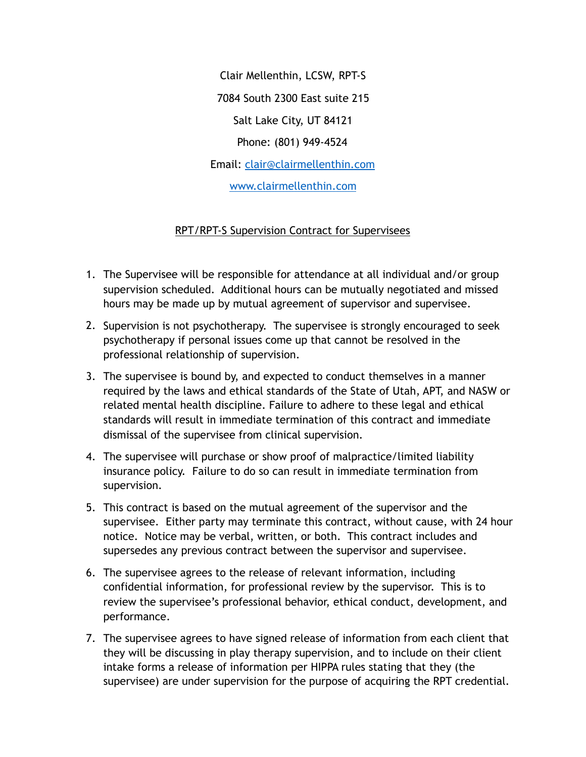Clair Mellenthin, LCSW, RPT-S 7084 South 2300 East suite 215 Salt Lake City, UT 84121 Phone: (801) 949-4524 Email: [clair@clairmellenthin.com](mailto:clair@clairmellenthin.com) [www.clairmellenthin.com](http://www.clairmellenthin.com)

## RPT/RPT-S Supervision Contract for Supervisees

- 1. The Supervisee will be responsible for attendance at all individual and/or group supervision scheduled. Additional hours can be mutually negotiated and missed hours may be made up by mutual agreement of supervisor and supervisee.
- 2. Supervision is not psychotherapy. The supervisee is strongly encouraged to seek psychotherapy if personal issues come up that cannot be resolved in the professional relationship of supervision.
- 3. The supervisee is bound by, and expected to conduct themselves in a manner required by the laws and ethical standards of the State of Utah, APT, and NASW or related mental health discipline. Failure to adhere to these legal and ethical standards will result in immediate termination of this contract and immediate dismissal of the supervisee from clinical supervision.
- 4. The supervisee will purchase or show proof of malpractice/limited liability insurance policy. Failure to do so can result in immediate termination from supervision.
- 5. This contract is based on the mutual agreement of the supervisor and the supervisee. Either party may terminate this contract, without cause, with 24 hour notice. Notice may be verbal, written, or both. This contract includes and supersedes any previous contract between the supervisor and supervisee.
- 6. The supervisee agrees to the release of relevant information, including confidential information, for professional review by the supervisor. This is to review the supervisee's professional behavior, ethical conduct, development, and performance.
- 7. The supervisee agrees to have signed release of information from each client that they will be discussing in play therapy supervision, and to include on their client intake forms a release of information per HIPPA rules stating that they (the supervisee) are under supervision for the purpose of acquiring the RPT credential.